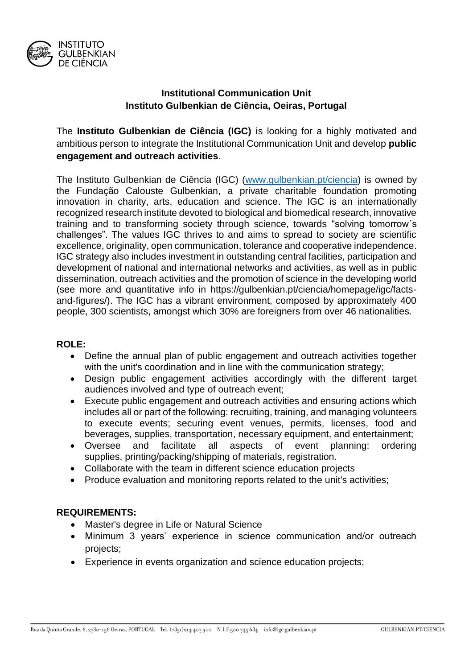

# **Institutional Communication Unit Instituto Gulbenkian de Ciência, Oeiras, Portugal**

The **Instituto Gulbenkian de Ciência (IGC)** is looking for a highly motivated and ambitious person to integrate the Institutional Communication Unit and develop **public engagement and outreach activities**.

The Instituto Gulbenkian de Ciência (IGC) [\(www.gulbenkian.pt/ciencia\)](http://www.gulbenkian.pt/ciencia) is owned by the Fundação Calouste Gulbenkian, a private charitable foundation promoting innovation in charity, arts, education and science. The IGC is an internationally recognized research institute devoted to biological and biomedical research, innovative training and to transforming society through science, towards "solving tomorrow´s challenges". The values IGC thrives to and aims to spread to society are scientific excellence, originality, open communication, tolerance and cooperative independence. IGC strategy also includes investment in outstanding central facilities, participation and development of national and international networks and activities, as well as in public dissemination, outreach activities and the promotion of science in the developing world (see more and quantitative info in https://gulbenkian.pt/ciencia/homepage/igc/factsand-figures/). The IGC has a vibrant environment, composed by approximately 400 people, 300 scientists, amongst which 30% are foreigners from over 46 nationalities.

## **ROLE:**

- Define the annual plan of public engagement and outreach activities together with the unit's coordination and in line with the communication strategy;
- Design public engagement activities accordingly with the different target audiences involved and type of outreach event;
- Execute public engagement and outreach activities and ensuring actions which includes all or part of the following: recruiting, training, and managing volunteers to execute events; securing event venues, permits, licenses, food and beverages, supplies, transportation, necessary equipment, and entertainment;
- Oversee and facilitate all aspects of event planning: ordering supplies, printing/packing/shipping of materials, registration.
- Collaborate with the team in different science education projects
- Produce evaluation and monitoring reports related to the unit's activities;

# **REQUIREMENTS:**

- Master's degree in Life or Natural Science
- Minimum 3 years' experience in science communication and/or outreach projects;
- Experience in events organization and science education projects;